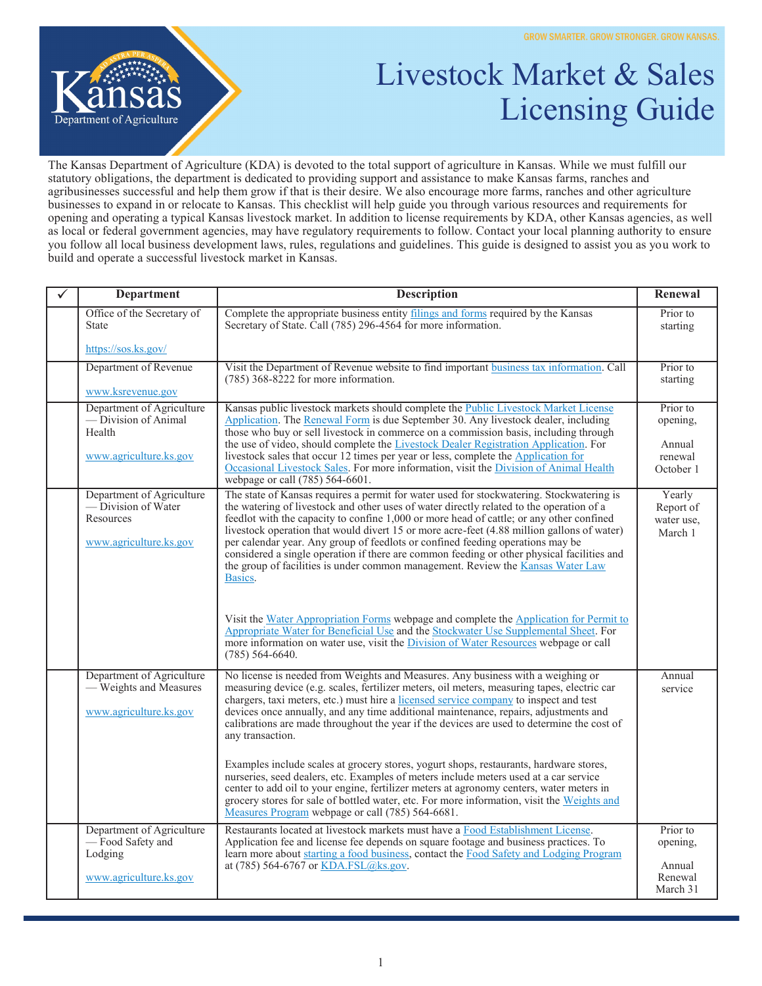

## Livestock Market & Sales Licensing Guide

The Kansas Department of Agriculture (KDA) is devoted to the total support of agriculture in Kansas. While we must fulfill our statutory obligations, the department is dedicated to providing support and assistance to make Kansas farms, ranches and agribusinesses successful and help them grow if that is their desire. We also encourage more farms, ranches and other agriculture businesses to expand in or relocate to Kansas. This checklist will help guide you through various resources and requirements for opening and operating a typical Kansas livestock market. In addition to license requirements by KDA, other Kansas agencies, as well as local or federal government agencies, may have regulatory requirements to follow. Contact your local planning authority to ensure you follow all local business development laws, rules, regulations and guidelines. This guide is designed to assist you as you work to build and operate a successful livestock market in Kansas.

| ✓ | <b>Department</b>                                                                              | <b>Description</b>                                                                                                                                                                                                                                                                                                                                                                                                                                                                                                                                                                                                                                                                                                                                                                                                                            | Renewal                                                |
|---|------------------------------------------------------------------------------------------------|-----------------------------------------------------------------------------------------------------------------------------------------------------------------------------------------------------------------------------------------------------------------------------------------------------------------------------------------------------------------------------------------------------------------------------------------------------------------------------------------------------------------------------------------------------------------------------------------------------------------------------------------------------------------------------------------------------------------------------------------------------------------------------------------------------------------------------------------------|--------------------------------------------------------|
|   | Office of the Secretary of<br><b>State</b>                                                     | Complete the appropriate business entity filings and forms required by the Kansas<br>Secretary of State. Call (785) 296-4564 for more information.                                                                                                                                                                                                                                                                                                                                                                                                                                                                                                                                                                                                                                                                                            | Prior to<br>starting                                   |
|   | https://sos.ks.gov/                                                                            |                                                                                                                                                                                                                                                                                                                                                                                                                                                                                                                                                                                                                                                                                                                                                                                                                                               |                                                        |
|   | Department of Revenue<br>www.ksrevenue.gov                                                     | Visit the Department of Revenue website to find important business tax information. Call<br>$(785)$ 368-8222 for more information.                                                                                                                                                                                                                                                                                                                                                                                                                                                                                                                                                                                                                                                                                                            | Prior to<br>starting                                   |
|   | Department of Agriculture<br>— Division of Animal<br>Health<br>www.agriculture.ks.gov          | Kansas public livestock markets should complete the Public Livestock Market License<br>Application. The Renewal Form is due September 30. Any livestock dealer, including<br>those who buy or sell livestock in commerce on a commission basis, including through<br>the use of video, should complete the Livestock Dealer Registration Application. For<br>livestock sales that occur 12 times per year or less, complete the Application for<br>Occasional Livestock Sales. For more information, visit the Division of Animal Health<br>webpage or call (785) 564-6601.                                                                                                                                                                                                                                                                   | Prior to<br>opening,<br>Annual<br>renewal<br>October 1 |
|   | Department of Agriculture<br>— Division of Water<br><b>Resources</b><br>www.agriculture.ks.gov | The state of Kansas requires a permit for water used for stockwatering. Stockwatering is<br>the watering of livestock and other uses of water directly related to the operation of a<br>feedlot with the capacity to confine 1,000 or more head of cattle; or any other confined<br>livestock operation that would divert 15 or more acre-feet (4.88 million gallons of water)<br>per calendar year. Any group of feedlots or confined feeding operations may be<br>considered a single operation if there are common feeding or other physical facilities and<br>the group of facilities is under common management. Review the Kansas Water Law<br>Basics.<br>Visit the Water Appropriation Forms webpage and complete the Application for Permit to<br>Appropriate Water for Beneficial Use and the Stockwater Use Supplemental Sheet. For | Yearly<br>Report of<br>water use,<br>March 1           |
|   |                                                                                                | more information on water use, visit the <i>Division of Water Resources</i> webpage or call<br>$(785)$ 564-6640.                                                                                                                                                                                                                                                                                                                                                                                                                                                                                                                                                                                                                                                                                                                              |                                                        |
|   | Department of Agriculture<br>- Weights and Measures<br>www.agriculture.ks.gov                  | No license is needed from Weights and Measures. Any business with a weighing or<br>measuring device (e.g. scales, fertilizer meters, oil meters, measuring tapes, electric car<br>chargers, taxi meters, etc.) must hire a licensed service company to inspect and test<br>devices once annually, and any time additional maintenance, repairs, adjustments and<br>calibrations are made throughout the year if the devices are used to determine the cost of<br>any transaction.                                                                                                                                                                                                                                                                                                                                                             | Annual<br>service                                      |
|   |                                                                                                | Examples include scales at grocery stores, yogurt shops, restaurants, hardware stores,<br>nurseries, seed dealers, etc. Examples of meters include meters used at a car service<br>center to add oil to your engine, fertilizer meters at agronomy centers, water meters in<br>grocery stores for sale of bottled water, etc. For more information, visit the Weights and<br>Measures Program webpage or call (785) 564-6681.                                                                                                                                                                                                                                                                                                                                                                                                                 |                                                        |
|   | Department of Agriculture<br>- Food Safety and<br>Lodging                                      | Restaurants located at livestock markets must have a Food Establishment License.<br>Application fee and license fee depends on square footage and business practices. To<br>learn more about starting a food business, contact the Food Safety and Lodging Program                                                                                                                                                                                                                                                                                                                                                                                                                                                                                                                                                                            | Prior to<br>opening,                                   |
|   | www.agriculture.ks.gov                                                                         | at (785) 564-6767 or KDA.FSL@ks.gov.                                                                                                                                                                                                                                                                                                                                                                                                                                                                                                                                                                                                                                                                                                                                                                                                          | Annual<br>Renewal<br>March 31                          |